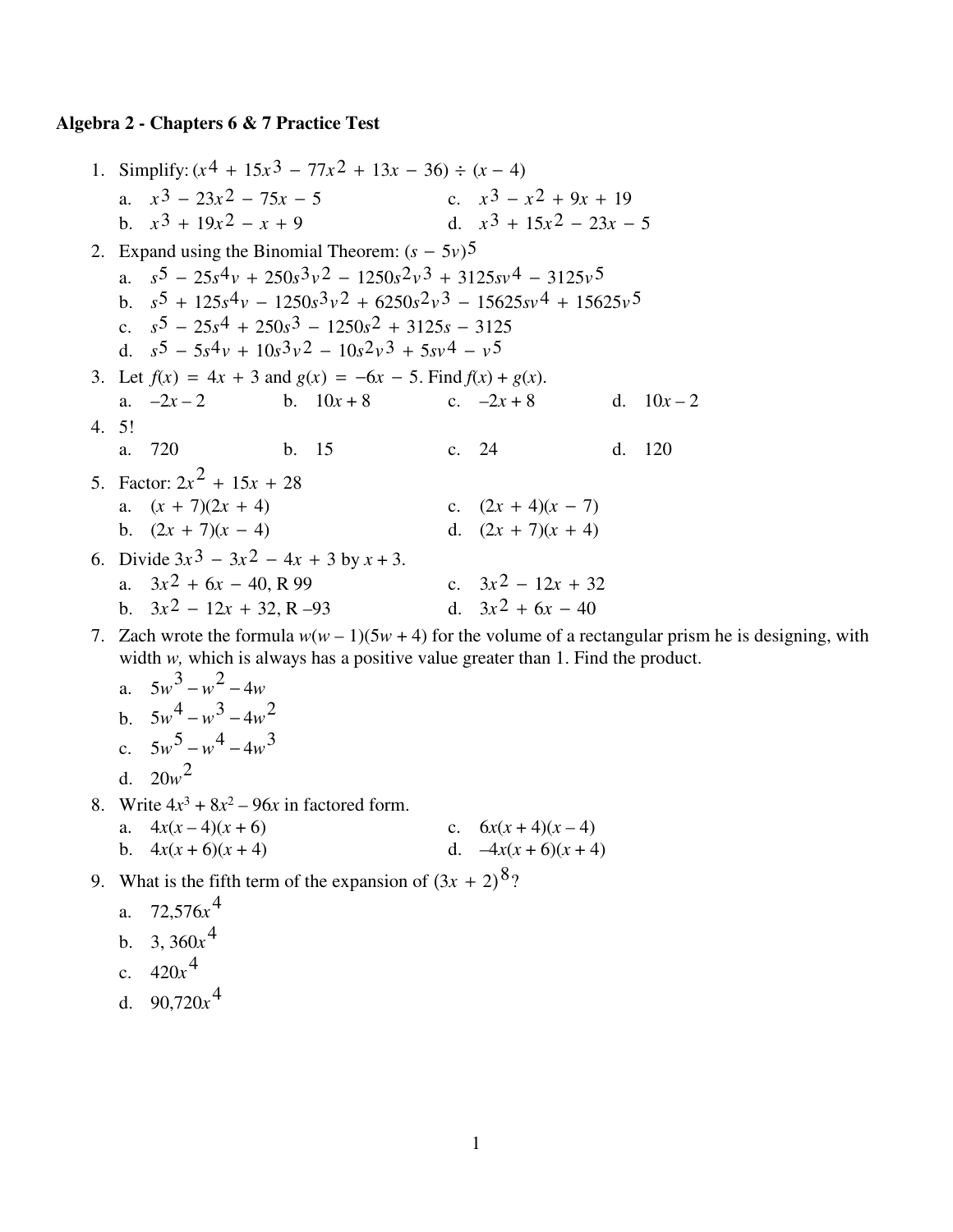## **Algebra 2 - Chapters 6 & 7 Practice Test**

1. Simplify:  $(x^4 + 15x^3 - 77x^2 + 13x - 36) \div (x - 4)$ a.  $x^3 - 23x^2 - 75x - 5$  c.  $x^3 - x^2 + 9x + 19$ b.  $x^3 + 19x^2 - x + 9$  d.  $x^3 + 15x^2 - 23x - 5$ 2. Expand using the Binomial Theorem:  $(s - 5v)$ <sup>5</sup> a. *s*5 − 25*s*4*v* + 250*s*3*v*2 − 1250*s*2*v*3 + 3125*sv*4 − 3125*v*5 b. *s*5 + 125*s*4*v* − 1250*s*3*v*2 + 6250*s*2*v*3 − 15625*sv*4 + 15625*v*5 c. *s*5 − 25*s*4 + 250*s*3 − 1250*s*2 + 3125*s* − 3125 d. *s*5 − 5*s*4*v* + 10*s*3*v*2 − 10*s*2*v*3 + 5*sv*4 − *v*5 3. Let  $f(x) = 4x + 3$  and  $g(x) = -6x - 5$ . Find  $f(x) + g(x)$ . a.  $-2x-2$  b.  $10x+8$  c.  $-2x+8$  d.  $10x-2$  4. 5! a. 720 b. 15 c. 24 d. 120 5. Factor:  $2x^2 + 15x + 28$ a.  $(x + 7)(2x + 4)$  c.  $(2x + 4)(x - 7)$ b.  $(2x + 7)(x - 4)$  d.  $(2x + 7)(x + 4)$ 6. Divide  $3x^3 - 3x^2 - 4x + 3$  by  $x + 3$ . a.  $3x^2 + 6x - 40$ , R 99 c.  $3x^2 - 12x + 32$ b.  $3x^2 - 12x + 32$ , R –93 d.  $3x^2 + 6x - 40$ 

7. Zach wrote the formula  $w(w - 1)(5w + 4)$  for the volume of a rectangular prism he is designing, with width *w*, which is always has a positive value greater than 1. Find the product.

a. 
$$
5w^3 - w^2 - 4w
$$
  
\nb.  $5w^4 - w^3 - 4w^2$   
\nc.  $5w^5 - w^4 - 4w^3$   
\nd.  $20w^2$ 

- 8. Write  $4x^3 + 8x^2 96x$  in factored form.
	- a.  $4x(x-4)(x+6)$  c.  $6x(x+4)(x-4)$ b.  $4x(x+6)(x+4)$  d.  $-4x(x+6)(x+4)$
- 9. What is the fifth term of the expansion of  $(3x + 2)^8$ ?
	- a. 72,576*x* 4
	- b. 3,  $360x^4$
	- c.  $420x^4$
	- d.  $90,720x^4$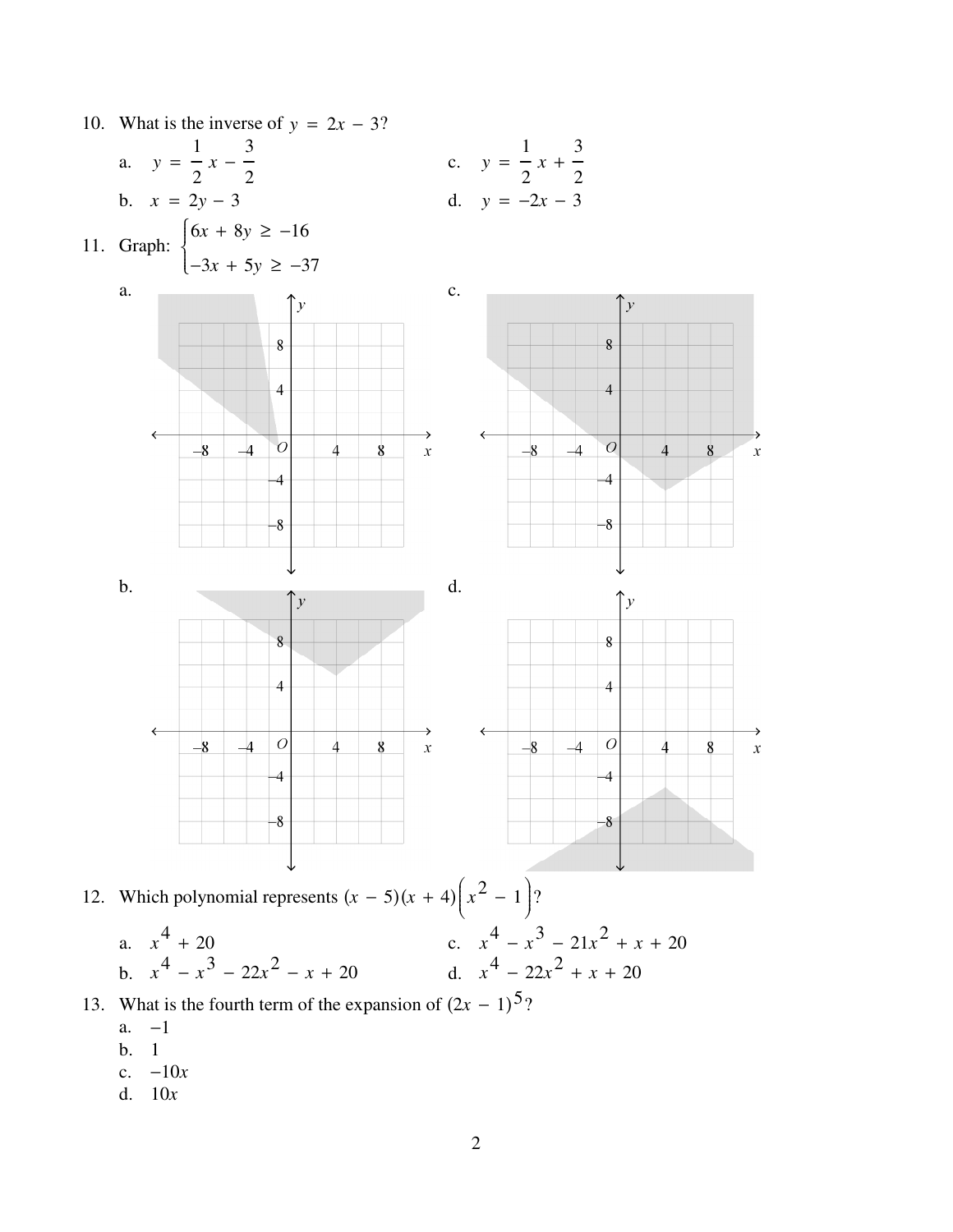

- - $a. -1$
	- $b. 1$
	- c.  $-10x$
	- d.  $10x$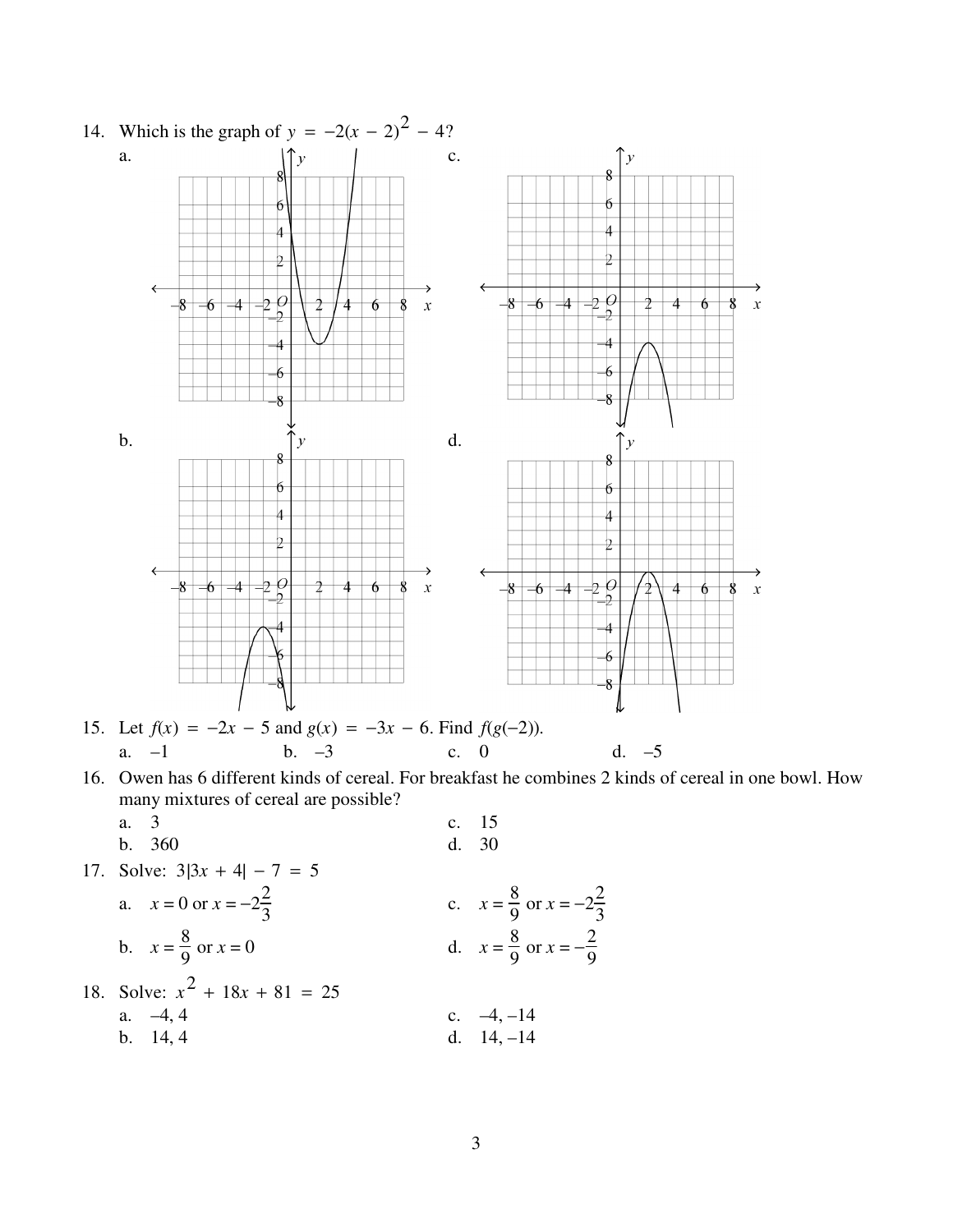

| a. 3                                        | c. 15      |
|---------------------------------------------|------------|
| b. 360                                      | d. 30      |
| 17. Solve: $3 3x + 4  - 7 = 5$              |            |
| a. $x = 0$ or $x = -2\frac{2}{3}$           |            |
| b. $x = \frac{8}{9}$ or $x = 0$             |            |
| c. $x = \frac{8}{9}$ or $x = -2\frac{2}{3}$ |            |
| d. $x = \frac{8}{9}$ or $x = -2\frac{2}{3}$ |            |
| 18. Solve: $x^2 + 18x + 81 = 25$            |            |
| a. -4, 4                                    | b. 14, 4   |
| b. 14, 4                                    | c. -4, -14 |

3

9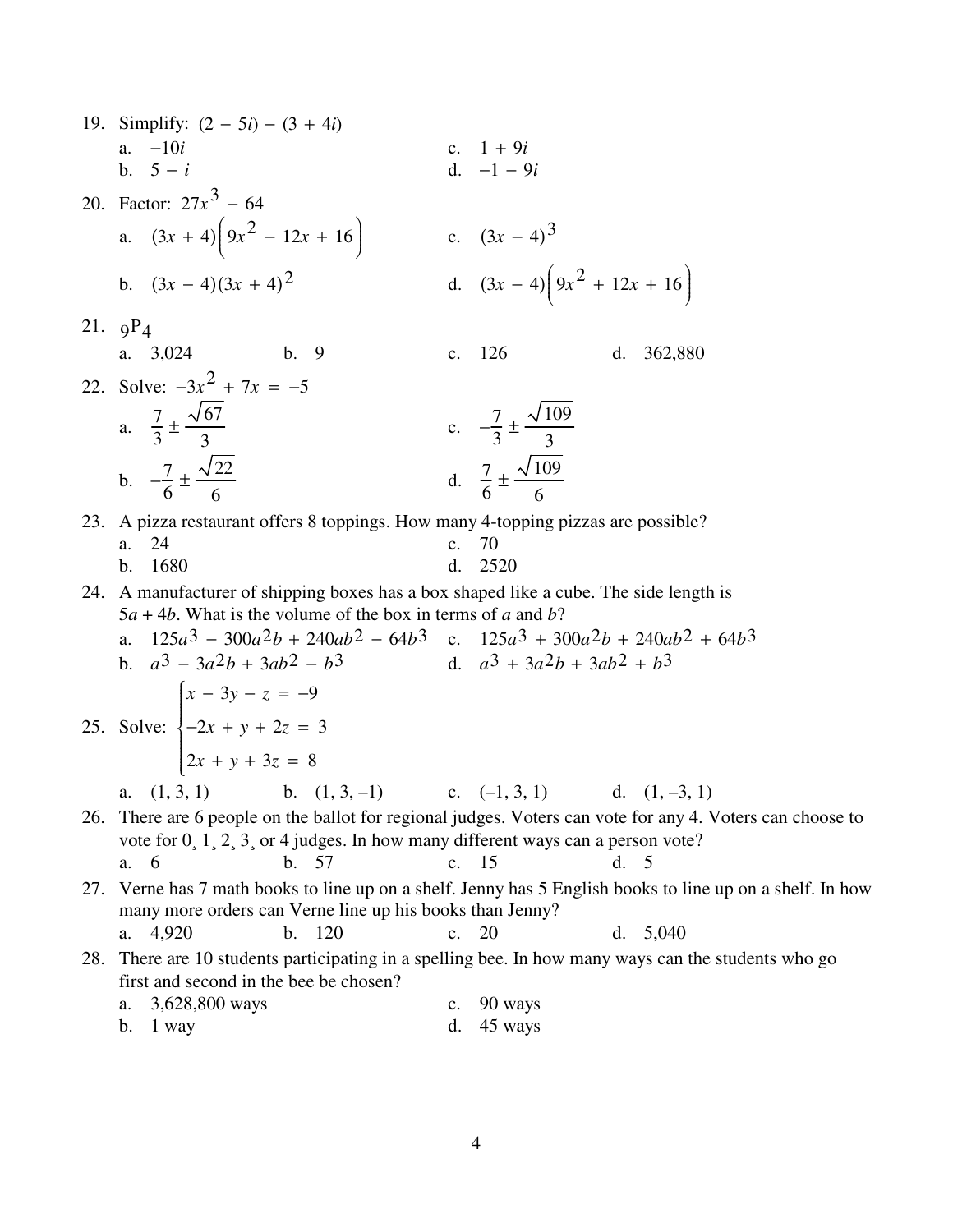| 19. Simplify: $(2 - 5i) - (3 + 4i)$                                                                                                                     |                |                                                                                                           |
|---------------------------------------------------------------------------------------------------------------------------------------------------------|----------------|-----------------------------------------------------------------------------------------------------------|
| a. $-10i$                                                                                                                                               |                | c. $1 + 9i$                                                                                               |
| b. $5 - i$                                                                                                                                              |                | d. $-1 - 9i$                                                                                              |
| 20. Factor: $27x^3 - 64$                                                                                                                                |                |                                                                                                           |
| a. $(3x + 4)\left(9x^2 - 12x + 16\right)$                                                                                                               |                | c. $(3x-4)^3$                                                                                             |
| b. $(3x-4)(3x+4)^2$                                                                                                                                     |                | d. $(3x-4)\left(9x^2+12x+16\right)$                                                                       |
| 21. $9P_4$                                                                                                                                              |                |                                                                                                           |
| a. $3,024$<br>b.9                                                                                                                                       |                | c. 126<br>362,880<br>d.                                                                                   |
| 22. Solve: $-3x^2 + 7x = -5$                                                                                                                            |                |                                                                                                           |
| a. $\frac{7}{3} \pm \frac{\sqrt{67}}{3}$                                                                                                                |                | c. $-\frac{7}{3} \pm \frac{\sqrt{109}}{3}$                                                                |
| b. $-\frac{7}{6} \pm \frac{\sqrt{22}}{6}$                                                                                                               |                | d. $\frac{7}{6} \pm \frac{\sqrt{109}}{6}$                                                                 |
| 23. A pizza restaurant offers 8 toppings. How many 4-topping pizzas are possible?                                                                       |                |                                                                                                           |
| 24<br>a.                                                                                                                                                |                | c. $70$                                                                                                   |
| 1680<br>b.                                                                                                                                              | d.             | 2520                                                                                                      |
| 24. A manufacturer of shipping boxes has a box shaped like a cube. The side length is<br>$5a + 4b$ . What is the volume of the box in terms of a and b? |                |                                                                                                           |
| $125a^3 - 300a^2b + 240ab^2 - 64b^3$ c. $125a^3 + 300a^2b + 240ab^2 + 64b^3$                                                                            |                |                                                                                                           |
| b. $a^3 - 3a^2b + 3ab^2 - b^3$                                                                                                                          |                | d. $a^3 + 3a^2b + 3ab^2 + b^3$                                                                            |
|                                                                                                                                                         |                |                                                                                                           |
| 25. Solve: $\begin{cases} x - 3y - z = -9 \\ -2x + y + 2z = 3 \end{cases}$                                                                              |                |                                                                                                           |
|                                                                                                                                                         |                |                                                                                                           |
| $2x + y + 3z = 8$                                                                                                                                       |                |                                                                                                           |
| a. $(1,3,1)$ b. $(1,3,-1)$ c. $(-1,3,1)$ d. $(1,-3,1)$                                                                                                  |                |                                                                                                           |
|                                                                                                                                                         |                | 26. There are 6 people on the ballot for regional judges. Voters can vote for any 4. Voters can choose to |
| vote for $0, 1, 2, 3$ , or 4 judges. In how many different ways can a person vote?<br>b. 57<br>a. 6                                                     |                | c. 15<br>d. 5                                                                                             |
|                                                                                                                                                         |                | 27. Verne has 7 math books to line up on a shelf. Jenny has 5 English books to line up on a shelf. In how |
| many more orders can Verne line up his books than Jenny?                                                                                                |                |                                                                                                           |
| b. 120<br>4,920<br>a.                                                                                                                                   |                | c. 20<br>d. $5,040$                                                                                       |
|                                                                                                                                                         |                | 28. There are 10 students participating in a spelling bee. In how many ways can the students who go       |
| first and second in the bee be chosen?                                                                                                                  |                |                                                                                                           |
| 3,628,800 ways<br>a.                                                                                                                                    | $\mathbf{c}$ . | 90 ways                                                                                                   |
| 1 way<br>b.                                                                                                                                             | d.             | 45 ways                                                                                                   |

 $\overline{4}$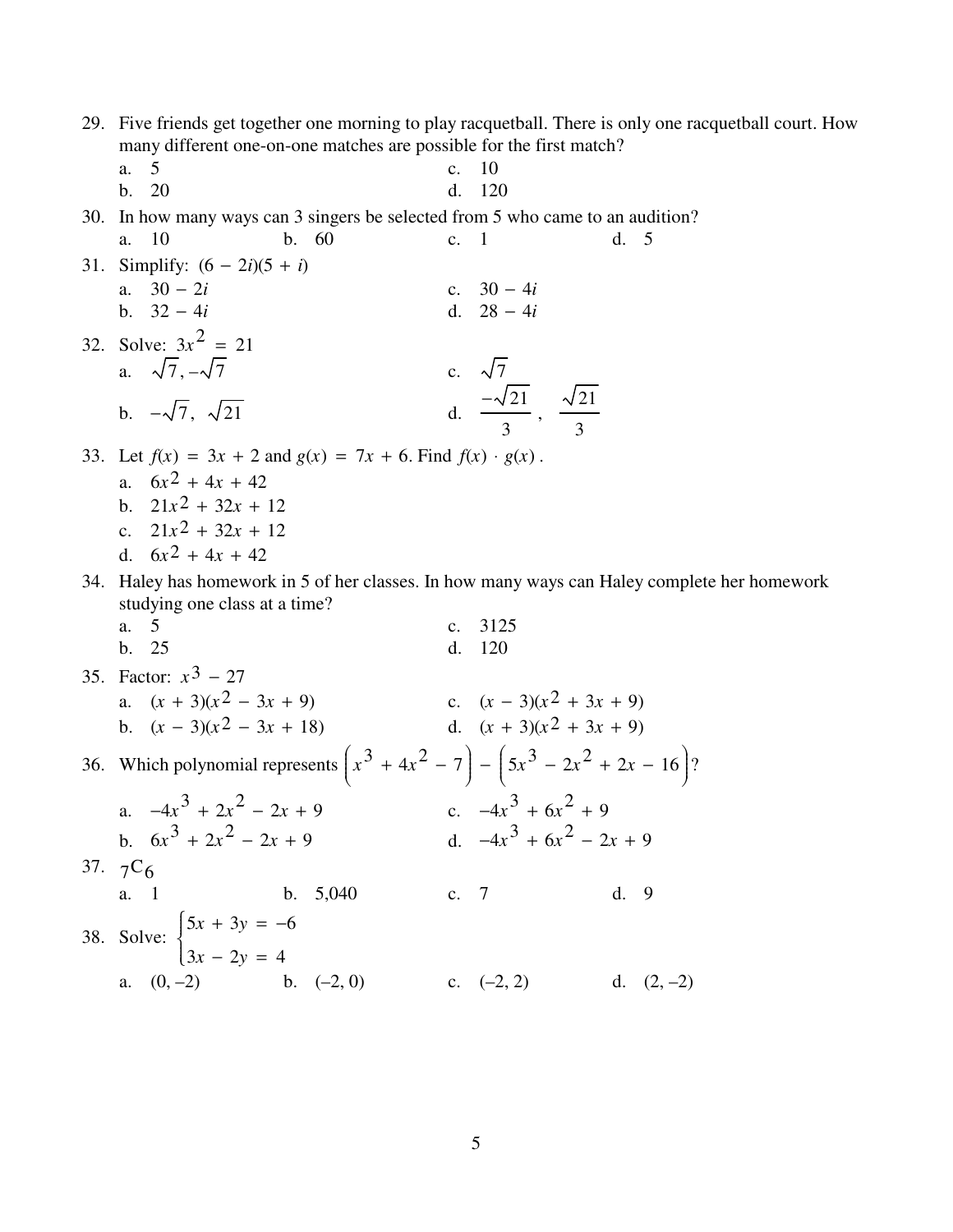29. Five friends get together one morning to play racquetball. There is only one racquetball court. How many different one-on-one matches are possible for the first match?

 $d. 5$ 

- a. 5  $\mathbf{c}$ .  $\overline{10}$  $b. 20$ 120  $\mathbf{d}$ .
- 30. In how many ways can 3 singers be selected from 5 who came to an audition?
- $\mathbf{a}$ . 10  $b. 60$  $\mathbf{c}$ .  $\overline{1}$ 31. Simplify:  $(6 - 2i)(5 + i)$ a.  $30 - 2i$ c.  $30 - 4i$ b.  $32 - 4i$ d.  $28 - 4i$ 32. Solve:  $3x^2 = 21$ a.  $\sqrt{7}, -\sqrt{7}$ c.  $\sqrt{7}$ d.  $\frac{-\sqrt{21}}{2}$ ,  $\frac{\sqrt{21}}{2}$ 
	- b.  $-\sqrt{7}$ ,  $\sqrt{21}$
- 33. Let  $f(x) = 3x + 2$  and  $g(x) = 7x + 6$ . Find  $f(x) \cdot g(x)$ .
	- a.  $6x^2 + 4x + 42$ b.  $21x^2 + 32x + 12$
	- c.  $21x^2 + 32x + 12$
	- d.  $6x^2 + 4x + 42$
- 34. Haley has homework in 5 of her classes. In how many ways can Haley complete her homework studying one class at a time?
	- a. 5 c. 3125 b. 25 d. 120
- 35. Factor:  $x^3 27$ a.  $(x + 3)(x^2 - 3x + 9)$ c.  $(x-3)(x^2+3x+9)$ d.  $(x + 3)(x^2 + 3x + 9)$ b.  $(x-3)(x^2-3x+18)$ 36. Which polynomial represents  $(x^3 + 4x^2 - 7) - (5x^3 - 2x^2 + 2x - 16)$ ? c.  $-4x^3 + 6x^2 + 9$ a.  $-4x^3 + 2x^2 - 2x + 9$ d.  $-4x^3 + 6x^2 - 2x + 9$ b.  $6x^3 + 2x^2 - 2x + 9$ 37.  $7C_6$ a. 1 b. 5,040 c. 7 d. 9 38. Solve:  $\begin{cases} 5x + 3y = -6 \\ 3x - 2y = 4 \end{cases}$ a.  $(0, -2)$  b.  $(-2, 0)$ c.  $(-2, 2)$  d.  $(2, -2)$